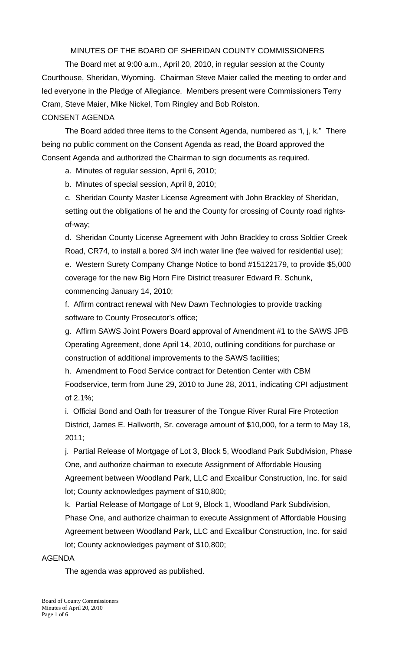MINUTES OF THE BOARD OF SHERIDAN COUNTY COMMISSIONERS

 The Board met at 9:00 a.m., April 20, 2010, in regular session at the County Courthouse, Sheridan, Wyoming. Chairman Steve Maier called the meeting to order and led everyone in the Pledge of Allegiance. Members present were Commissioners Terry Cram, Steve Maier, Mike Nickel, Tom Ringley and Bob Rolston. CONSENT AGENDA

The Board added three items to the Consent Agenda, numbered as "i, j, k." There being no public comment on the Consent Agenda as read, the Board approved the Consent Agenda and authorized the Chairman to sign documents as required.

a. Minutes of regular session, April 6, 2010;

b. Minutes of special session, April 8, 2010;

c. Sheridan County Master License Agreement with John Brackley of Sheridan, setting out the obligations of he and the County for crossing of County road rightsof-way;

d. Sheridan County License Agreement with John Brackley to cross Soldier Creek Road, CR74, to install a bored 3/4 inch water line (fee waived for residential use); e. Western Surety Company Change Notice to bond #15122179, to provide \$5,000 coverage for the new Big Horn Fire District treasurer Edward R. Schunk, commencing January 14, 2010;

f. Affirm contract renewal with New Dawn Technologies to provide tracking software to County Prosecutor's office;

g. Affirm SAWS Joint Powers Board approval of Amendment #1 to the SAWS JPB Operating Agreement, done April 14, 2010, outlining conditions for purchase or construction of additional improvements to the SAWS facilities;

h. Amendment to Food Service contract for Detention Center with CBM Foodservice, term from June 29, 2010 to June 28, 2011, indicating CPI adjustment of 2.1%;

 i. Official Bond and Oath for treasurer of the Tongue River Rural Fire Protection District, James E. Hallworth, Sr. coverage amount of \$10,000, for a term to May 18, 2011;

 j. Partial Release of Mortgage of Lot 3, Block 5, Woodland Park Subdivision, Phase One, and authorize chairman to execute Assignment of Affordable Housing Agreement between Woodland Park, LLC and Excalibur Construction, Inc. for said lot; County acknowledges payment of \$10,800;

k. Partial Release of Mortgage of Lot 9, Block 1, Woodland Park Subdivision, Phase One, and authorize chairman to execute Assignment of Affordable Housing Agreement between Woodland Park, LLC and Excalibur Construction, Inc. for said lot; County acknowledges payment of \$10,800;

## AGENDA

The agenda was approved as published.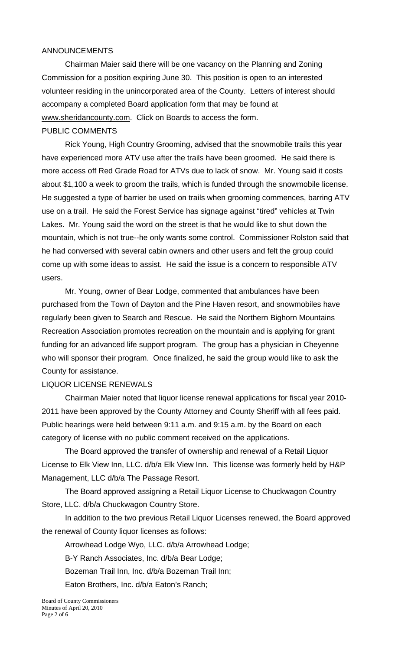### ANNOUNCEMENTS

 Chairman Maier said there will be one vacancy on the Planning and Zoning Commission for a position expiring June 30. This position is open to an interested volunteer residing in the unincorporated area of the County. Letters of interest should accompany a completed Board application form that may be found at www.sheridancounty.com. Click on Boards to access the form.

#### PUBLIC COMMENTS

 Rick Young, High Country Grooming, advised that the snowmobile trails this year have experienced more ATV use after the trails have been groomed. He said there is more access off Red Grade Road for ATVs due to lack of snow. Mr. Young said it costs about \$1,100 a week to groom the trails, which is funded through the snowmobile license. He suggested a type of barrier be used on trails when grooming commences, barring ATV use on a trail. He said the Forest Service has signage against "tired" vehicles at Twin Lakes. Mr. Young said the word on the street is that he would like to shut down the mountain, which is not true--he only wants some control. Commissioner Rolston said that he had conversed with several cabin owners and other users and felt the group could come up with some ideas to assist. He said the issue is a concern to responsible ATV users.

 Mr. Young, owner of Bear Lodge, commented that ambulances have been purchased from the Town of Dayton and the Pine Haven resort, and snowmobiles have regularly been given to Search and Rescue. He said the Northern Bighorn Mountains Recreation Association promotes recreation on the mountain and is applying for grant funding for an advanced life support program. The group has a physician in Cheyenne who will sponsor their program. Once finalized, he said the group would like to ask the County for assistance.

#### LIQUOR LICENSE RENEWALS

 Chairman Maier noted that liquor license renewal applications for fiscal year 2010- 2011 have been approved by the County Attorney and County Sheriff with all fees paid. Public hearings were held between 9:11 a.m. and 9:15 a.m. by the Board on each category of license with no public comment received on the applications.

 The Board approved the transfer of ownership and renewal of a Retail Liquor License to Elk View Inn, LLC. d/b/a Elk View Inn. This license was formerly held by H&P Management, LLC d/b/a The Passage Resort.

 The Board approved assigning a Retail Liquor License to Chuckwagon Country Store, LLC. d/b/a Chuckwagon Country Store.

 In addition to the two previous Retail Liquor Licenses renewed, the Board approved the renewal of County liquor licenses as follows:

Arrowhead Lodge Wyo, LLC. d/b/a Arrowhead Lodge;

B-Y Ranch Associates, Inc. d/b/a Bear Lodge;

Bozeman Trail Inn, Inc. d/b/a Bozeman Trail Inn;

Eaton Brothers, Inc. d/b/a Eaton's Ranch;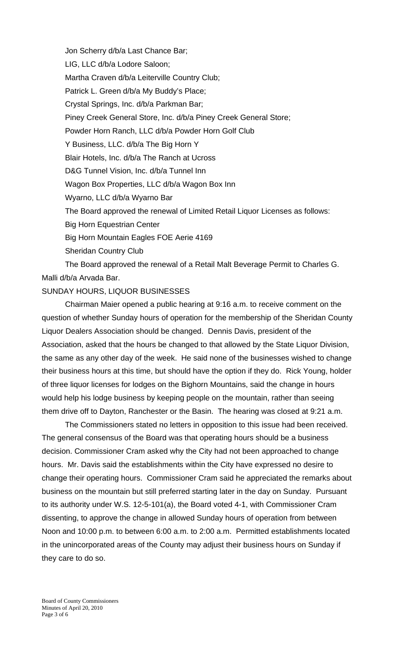Jon Scherry d/b/a Last Chance Bar; LIG, LLC d/b/a Lodore Saloon; Martha Craven d/b/a Leiterville Country Club; Patrick L. Green d/b/a My Buddy's Place; Crystal Springs, Inc. d/b/a Parkman Bar; Piney Creek General Store, Inc. d/b/a Piney Creek General Store; Powder Horn Ranch, LLC d/b/a Powder Horn Golf Club Y Business, LLC. d/b/a The Big Horn Y Blair Hotels, Inc. d/b/a The Ranch at Ucross D&G Tunnel Vision, Inc. d/b/a Tunnel Inn Wagon Box Properties, LLC d/b/a Wagon Box Inn Wyarno, LLC d/b/a Wyarno Bar The Board approved the renewal of Limited Retail Liquor Licenses as follows: Big Horn Equestrian Center Big Horn Mountain Eagles FOE Aerie 4169 Sheridan Country Club The Board approved the renewal of a Retail Malt Beverage Permit to Charles G.

Malli d/b/a Arvada Bar.

### SUNDAY HOURS, LIQUOR BUSINESSES

Chairman Maier opened a public hearing at 9:16 a.m. to receive comment on the question of whether Sunday hours of operation for the membership of the Sheridan County Liquor Dealers Association should be changed. Dennis Davis, president of the Association, asked that the hours be changed to that allowed by the State Liquor Division, the same as any other day of the week. He said none of the businesses wished to change their business hours at this time, but should have the option if they do. Rick Young, holder of three liquor licenses for lodges on the Bighorn Mountains, said the change in hours would help his lodge business by keeping people on the mountain, rather than seeing them drive off to Dayton, Ranchester or the Basin. The hearing was closed at 9:21 a.m.

The Commissioners stated no letters in opposition to this issue had been received. The general consensus of the Board was that operating hours should be a business decision. Commissioner Cram asked why the City had not been approached to change hours. Mr. Davis said the establishments within the City have expressed no desire to change their operating hours. Commissioner Cram said he appreciated the remarks about business on the mountain but still preferred starting later in the day on Sunday. Pursuant to its authority under W.S. 12-5-101(a), the Board voted 4-1, with Commissioner Cram dissenting, to approve the change in allowed Sunday hours of operation from between Noon and 10:00 p.m. to between 6:00 a.m. to 2:00 a.m. Permitted establishments located in the unincorporated areas of the County may adjust their business hours on Sunday if they care to do so.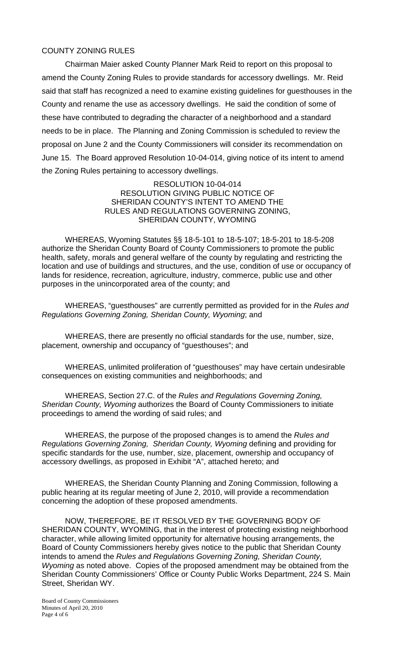### COUNTY ZONING RULES

 Chairman Maier asked County Planner Mark Reid to report on this proposal to amend the County Zoning Rules to provide standards for accessory dwellings. Mr. Reid said that staff has recognized a need to examine existing guidelines for guesthouses in the County and rename the use as accessory dwellings. He said the condition of some of these have contributed to degrading the character of a neighborhood and a standard needs to be in place. The Planning and Zoning Commission is scheduled to review the proposal on June 2 and the County Commissioners will consider its recommendation on June 15. The Board approved Resolution 10-04-014, giving notice of its intent to amend the Zoning Rules pertaining to accessory dwellings.

> RESOLUTION 10-04-014 RESOLUTION GIVING PUBLIC NOTICE OF SHERIDAN COUNTY'S INTENT TO AMEND THE RULES AND REGULATIONS GOVERNING ZONING, SHERIDAN COUNTY, WYOMING

 WHEREAS, Wyoming Statutes §§ 18-5-101 to 18-5-107; 18-5-201 to 18-5-208 authorize the Sheridan County Board of County Commissioners to promote the public health, safety, morals and general welfare of the county by regulating and restricting the location and use of buildings and structures, and the use, condition of use or occupancy of lands for residence, recreation, agriculture, industry, commerce, public use and other purposes in the unincorporated area of the county; and

 WHEREAS, "guesthouses" are currently permitted as provided for in the *Rules and Regulations Governing Zoning, Sheridan County, Wyoming*; and

 WHEREAS, there are presently no official standards for the use, number, size, placement, ownership and occupancy of "guesthouses"; and

 WHEREAS, unlimited proliferation of "guesthouses" may have certain undesirable consequences on existing communities and neighborhoods; and

 WHEREAS, Section 27.C. of the *Rules and Regulations Governing Zoning, Sheridan County, Wyoming* authorizes the Board of County Commissioners to initiate proceedings to amend the wording of said rules; and

 WHEREAS, the purpose of the proposed changes is to amend the *Rules and Regulations Governing Zoning, Sheridan County, Wyoming* defining and providing for specific standards for the use, number, size, placement, ownership and occupancy of accessory dwellings, as proposed in Exhibit "A", attached hereto; and

WHEREAS, the Sheridan County Planning and Zoning Commission, following a public hearing at its regular meeting of June 2, 2010, will provide a recommendation concerning the adoption of these proposed amendments.

NOW, THEREFORE, BE IT RESOLVED BY THE GOVERNING BODY OF SHERIDAN COUNTY, WYOMING, that in the interest of protecting existing neighborhood character, while allowing limited opportunity for alternative housing arrangements, the Board of County Commissioners hereby gives notice to the public that Sheridan County intends to amend the *Rules and Regulations Governing Zoning, Sheridan County, Wyoming* as noted above. Copies of the proposed amendment may be obtained from the Sheridan County Commissioners' Office or County Public Works Department, 224 S. Main Street, Sheridan WY.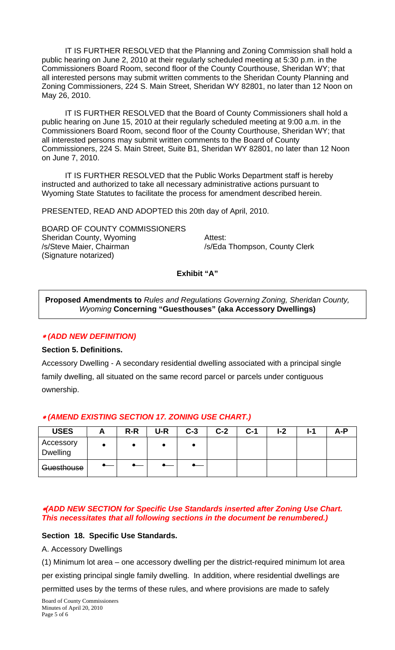IT IS FURTHER RESOLVED that the Planning and Zoning Commission shall hold a public hearing on June 2, 2010 at their regularly scheduled meeting at 5:30 p.m. in the Commissioners Board Room, second floor of the County Courthouse, Sheridan WY; that all interested persons may submit written comments to the Sheridan County Planning and Zoning Commissioners, 224 S. Main Street, Sheridan WY 82801, no later than 12 Noon on May 26, 2010.

IT IS FURTHER RESOLVED that the Board of County Commissioners shall hold a public hearing on June 15, 2010 at their regularly scheduled meeting at 9:00 a.m. in the Commissioners Board Room, second floor of the County Courthouse, Sheridan WY; that all interested persons may submit written comments to the Board of County Commissioners, 224 S. Main Street, Suite B1, Sheridan WY 82801, no later than 12 Noon on June 7, 2010.

IT IS FURTHER RESOLVED that the Public Works Department staff is hereby instructed and authorized to take all necessary administrative actions pursuant to Wyoming State Statutes to facilitate the process for amendment described herein.

PRESENTED, READ AND ADOPTED this 20th day of April, 2010.

BOARD OF COUNTY COMMISSIONERS Sheridan County, Wyoming **Attest:** /s/Steve Maier, Chairman /s/Eda Thompson, County Clerk (Signature notarized)

**Exhibit "A"** 

**Proposed Amendments to** *Rules and Regulations Governing Zoning, Sheridan County, Wyoming* **Concerning "Guesthouses" (aka Accessory Dwellings)** 

### *(ADD NEW DEFINITION)*

## **Section 5. Definitions.**

Accessory Dwelling - A secondary residential dwelling associated with a principal single family dwelling, all situated on the same record parcel or parcels under contiguous ownership.

| <b>USES</b>           | $R-R$ | U-R | $C-3$ | $C-2$ | C-1 | l-2 | 1-7 | A-P |
|-----------------------|-------|-----|-------|-------|-----|-----|-----|-----|
| Accessory<br>Dwelling |       |     |       |       |     |     |     |     |
| Guesthouse            |       |     |       |       |     |     |     |     |

### *(AMEND EXISTING SECTION 17. ZONING USE CHART.)*

## *(ADD NEW SECTION for Specific Use Standards inserted after Zoning Use Chart. This necessitates that all following sections in the document be renumbered.)*

### **Section 18. Specific Use Standards.**

A. Accessory Dwellings

(1) Minimum lot area – one accessory dwelling per the district-required minimum lot area

per existing principal single family dwelling. In addition, where residential dwellings are permitted uses by the terms of these rules, and where provisions are made to safely